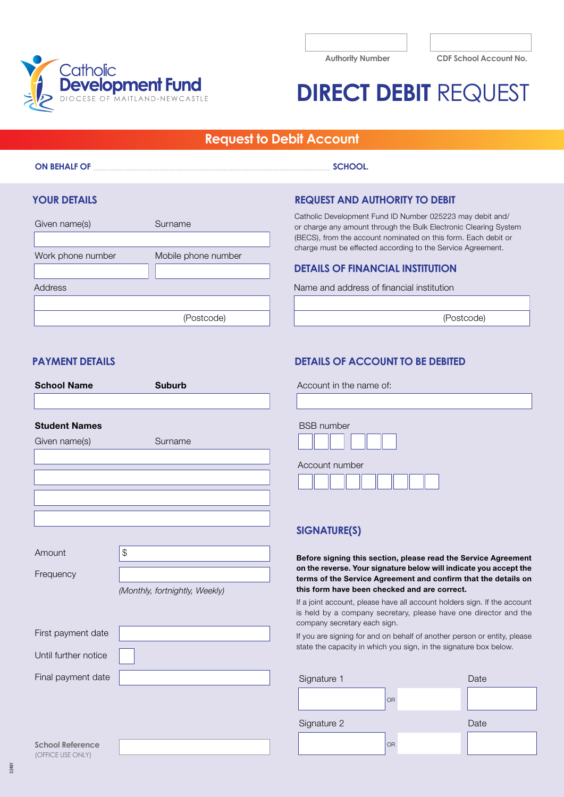

**Authority Number CDF School Account No.**

# **DIRECT DEBIT** REQUEST

# **Request to Debit Account**

#### **ON BEHALF OF SCHOOL.** SCHOOL.

# **YOUR DETAILS**

| Surname             |
|---------------------|
|                     |
| Mobile phone number |
|                     |
|                     |
|                     |
| (Postcode)          |
|                     |

# **REQUEST AND AUTHORITY TO DEBIT**

Catholic Development Fund ID Number 025223 may debit and/ or charge any amount through the Bulk Electronic Clearing System (BECS), from the account nominated on this form. Each debit or charge must be effected according to the Service Agreement.

## **DETAILS OF FINANCIAL INSTITUTION**

Address Name and address of financial institution

(Postcode)

## **PAYMENT DETAILS**

| <b>School Name</b>   | <b>Suburb</b>                  | Accoun                                            |
|----------------------|--------------------------------|---------------------------------------------------|
|                      |                                |                                                   |
| <b>Student Names</b> |                                | <b>BSB</b> nu                                     |
| Given name(s)        | Surname                        |                                                   |
|                      |                                | Accour                                            |
|                      |                                | <b>SIGNA</b>                                      |
| Amount               | \$                             | <b>Before</b> s                                   |
| Frequency            |                                | on the re<br>terms of                             |
|                      | (Monthly, fortnightly, Weekly) | this forn<br>If a joint a<br>is held b<br>company |
| First payment date   |                                | If you are                                        |
| Until further notice |                                | state the                                         |
| Final payment date   |                                | Signatu                                           |
|                      |                                |                                                   |
|                      |                                | Signatu                                           |

# **DETAILS OF ACCOUNT TO BE DEBITED**

at in the name of:

| <b>BSB</b> number |
|-------------------|
| Account number    |
|                   |

# **SIGNATURE(S)**

signing this section, please read the Service Agreement everse. Your signature below will indicate you accept the f the Service Agreement and confirm that the details on n have been checked and are correct.

account, please have all account holders sign. If the account by a company secretary, please have one director and the secretary each sign.

If signing for and on behalf of another person or entity, please capacity in which you sign, in the signature box below.

| Signature 1 |    | Date |
|-------------|----|------|
|             | OR |      |
| Signature 2 |    | Date |
|             | OR |      |